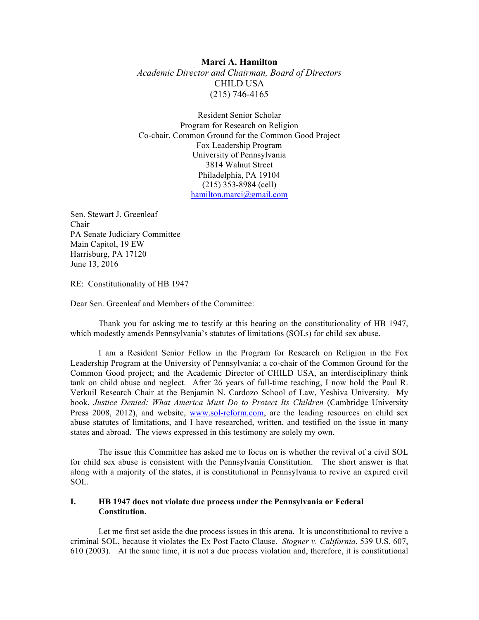## **Marci A. Hamilton**

*Academic Director and Chairman, Board of Directors* CHILD USA (215) 746-4165

Resident Senior Scholar Program for Research on Religion Co-chair, Common Ground for the Common Good Project Fox Leadership Program University of Pennsylvania 3814 Walnut Street Philadelphia, PA 19104 (215) 353-8984 (cell) hamilton.marci@gmail.com

Sen. Stewart J. Greenleaf Chair PA Senate Judiciary Committee Main Capitol, 19 EW Harrisburg, PA 17120 June 13, 2016

RE: Constitutionality of HB 1947

Dear Sen. Greenleaf and Members of the Committee:

Thank you for asking me to testify at this hearing on the constitutionality of HB 1947, which modestly amends Pennsylvania's statutes of limitations (SOLs) for child sex abuse.

I am a Resident Senior Fellow in the Program for Research on Religion in the Fox Leadership Program at the University of Pennsylvania; a co-chair of the Common Ground for the Common Good project; and the Academic Director of CHILD USA, an interdisciplinary think tank on child abuse and neglect. After 26 years of full-time teaching, I now hold the Paul R. Verkuil Research Chair at the Benjamin N. Cardozo School of Law, Yeshiva University. My book, *Justice Denied: What America Must Do to Protect Its Children* (Cambridge University Press 2008, 2012), and website, www.sol-reform.com, are the leading resources on child sex abuse statutes of limitations, and I have researched, written, and testified on the issue in many states and abroad. The views expressed in this testimony are solely my own.

The issue this Committee has asked me to focus on is whether the revival of a civil SOL for child sex abuse is consistent with the Pennsylvania Constitution. The short answer is that along with a majority of the states, it is constitutional in Pennsylvania to revive an expired civil SOL.

## **I. HB 1947 does not violate due process under the Pennsylvania or Federal Constitution.**

Let me first set aside the due process issues in this arena. It is unconstitutional to revive a criminal SOL, because it violates the Ex Post Facto Clause. *Stogner v. California*, 539 U.S. 607, 610 (2003). At the same time, it is not a due process violation and, therefore, it is constitutional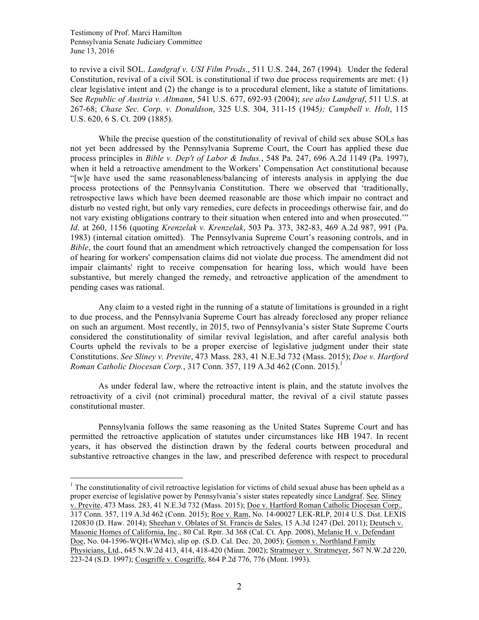to revive a civil SOL. *Landgraf v. USI Film Prods*., 511 U.S. 244, 267 (1994). Under the federal Constitution, revival of a civil SOL is constitutional if two due process requirements are met: (1) clear legislative intent and (2) the change is to a procedural element, like a statute of limitations. See *Republic of Austria v. Altmann*, 541 U.S. 677, 692-93 (2004); *see also Landgraf*, 511 U.S. at 267-68; *Chase Sec. Corp. v. Donaldson*, 325 U.S. 304, 311-15 (1945*); Campbell v. Holt*, 115 U.S. 620, 6 S. Ct. 209 (1885).

While the precise question of the constitutionality of revival of child sex abuse SOLs has not yet been addressed by the Pennsylvania Supreme Court, the Court has applied these due process principles in *Bible v. Dep't of Labor & Indus.*, 548 Pa. 247, 696 A.2d 1149 (Pa. 1997), when it held a retroactive amendment to the Workers' Compensation Act constitutional because "[w]e have used the same reasonableness/balancing of interests analysis in applying the due process protections of the Pennsylvania Constitution. There we observed that 'traditionally, retrospective laws which have been deemed reasonable are those which impair no contract and disturb no vested right, but only vary remedies, cure defects in proceedings otherwise fair, and do not vary existing obligations contrary to their situation when entered into and when prosecuted.'" *Id*. at 260, 1156 (quoting *Krenzelak v. Krenzelak*, 503 Pa. 373, 382-83, 469 A.2d 987, 991 (Pa. 1983) (internal citation omitted). The Pennsylvania Supreme Court's reasoning controls, and in *Bible*, the court found that an amendment which retroactively changed the compensation for loss of hearing for workers' compensation claims did not violate due process. The amendment did not impair claimants' right to receive compensation for hearing loss, which would have been substantive, but merely changed the remedy, and retroactive application of the amendment to pending cases was rational.

Any claim to a vested right in the running of a statute of limitations is grounded in a right to due process, and the Pennsylvania Supreme Court has already foreclosed any proper reliance on such an argument. Most recently, in 2015, two of Pennsylvania's sister State Supreme Courts considered the constitutionality of similar revival legislation, and after careful analysis both Courts upheld the revivals to be a proper exercise of legislative judgment under their state Constitutions. *See Sliney v. Previte*, 473 Mass. 283, 41 N.E.3d 732 (Mass. 2015); *Doe v. Hartford Roman Catholic Diocesan Corp.*, 317 Conn. 357, 119 A.3d 462 (Conn. 2015).<sup>1</sup>

As under federal law, where the retroactive intent is plain, and the statute involves the retroactivity of a civil (not criminal) procedural matter, the revival of a civil statute passes constitutional muster.

Pennsylvania follows the same reasoning as the United States Supreme Court and has permitted the retroactive application of statutes under circumstances like HB 1947. In recent years, it has observed the distinction drawn by the federal courts between procedural and substantive retroactive changes in the law, and prescribed deference with respect to procedural

 $1$  The constitutionality of civil retroactive legislation for victims of child sexual abuse has been upheld as a proper exercise of legislative power by Pennsylvania's sister states repeatedly since Landgraf. See*,* Sliney v. Previte, 473 Mass. 283, 41 N.E.3d 732 (Mass. 2015); Doe v. Hartford Roman Catholic Diocesan Corp., 317 Conn. 357, 119 A.3d 462 (Conn. 2015); Roe v. Ram, No. 14-00027 LEK-RLP, 2014 U.S. Dist. LEXIS 120830 (D. Haw. 2014); Sheehan v. Oblates of St. Francis de Sales, 15 A.3d 1247 (Del. 2011); Deutsch v. Masonic Homes of California, Inc., 80 Cal. Rptr. 3d 368 (Cal. Ct. App. 2008), Melanie H. v. Defendant Doe, No. 04-1596-WQH-(WMc), slip op. (S.D. Cal. Dec. 20, 2005); Gomon v. Northland Family Physicians, Ltd., 645 N.W.2d 413, 414, 418-420 (Minn. 2002); Stratmeyer v. Stratmeyer, 567 N.W.2d 220, 223-24 (S.D. 1997); Cosgriffe v. Cosgriffe, 864 P.2d 776, 776 (Mont. 1993).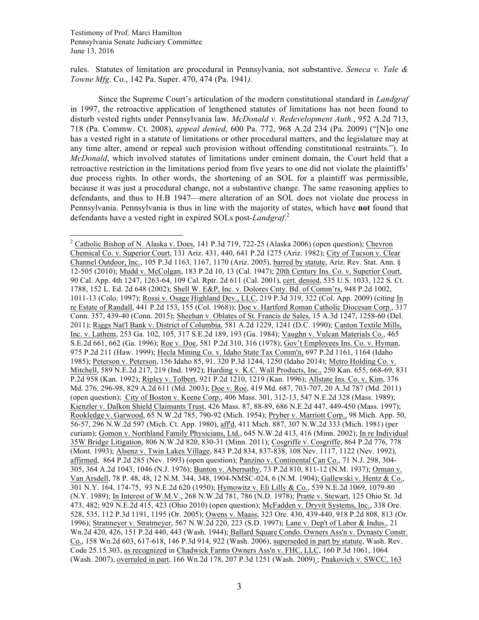rules. Statutes of limitation are procedural in Pennsylvania, not substantive. *Seneca v. Yale & Towne Mfg*. Co., 142 Pa. Super. 470, 474 (Pa. 1941*).*

Since the Supreme Court's articulation of the modern constitutional standard in *Landgraf* in 1997, the retroactive application of lengthened statutes of limitations has not been found to disturb vested rights under Pennsylvania law. *McDonald v. Redevelopment Auth.*, 952 A.2d 713, 718 (Pa. Commw. Ct. 2008), *appeal denied*, 600 Pa. 772, 968 A.2d 234 (Pa. 2009) ("[N]o one has a vested right in a statute of limitations or other procedural matters, and the legislature may at any time alter, amend or repeal such provision without offending constitutional restraints."). In *McDonald*, which involved statutes of limitations under eminent domain, the Court held that a retroactive restriction in the limitations period from five years to one did not violate the plaintiffs' due process rights. In other words, the shortening of an SOL for a plaintiff was permissible, because it was just a procedural change, not a substantive change. The same reasoning applies to defendants, and thus to H.B 1947—mere alteration of an SOL does not violate due process in Pennsylvania. Pennsylvania is thus in line with the majority of states, which have **not** found that defendants have a vested right in expired SOLs post-*Landgraf*. 2

<sup>&</sup>lt;sup>2</sup> Catholic Bishop of N. Alaska v. Does, 141 P.3d 719, 722-25 (Alaska 2006) (open question); Chevron Chemical Co. v. Superior Court, 131 Ariz. 431, 440, 641 P.2d 1275 (Ariz. 1982); City of Tucson v. Clear Channel Outdoor, Inc., 105 P.3d 1163, 1167, 1170 (Ariz. 2005), barred by statute, Ariz. Rev. Stat. Ann. § 12-505 (2010); Mudd v. McColgan, 183 P.2d 10, 13 (Cal. 1947); 20th Century Ins. Co. v. Superior Court, 90 Cal. App. 4th 1247, 1263-64, 109 Cal. Rptr. 2d 611 (Cal. 2001), cert. denied, 535 U.S. 1033, 122 S. Ct. 1788, 152 L. Ed. 2d 648 (2002); Shell W. E&P, Inc. v. Dolores Cnty. Bd. of Comm'rs, 948 P.2d 1002, 1011-13 (Colo. 1997); Rossi v. Osage Highland Dev., LLC, 219 P.3d 319, 322 (Col. App. 2009) (citing In re Estate of Randall, 441 P.2d 153, 155 (Col. 1968)); Doe v. Hartford Roman Catholic Diocesan Corp., 317 Conn. 357, 439-40 (Conn. 2015); Sheehan v. Oblates of St. Francis de Sales, 15 A.3d 1247, 1258-60 (Del. 2011); Riggs Nat'l Bank v. District of Columbia, 581 A.2d 1229, 1241 (D.C. 1990); Canton Textile Mills, Inc. v. Lathem, 253 Ga. 102, 105, 317 S.E.2d 189, 193 (Ga. 1984); Vaughn v. Vulcan Materials Co., 465 S.E.2d 661, 662 (Ga. 1996); Roe v. Doe, 581 P.2d 310, 316 (1978); Gov't Employees Ins. Co. v. Hyman, 975 P.2d 211 (Haw. 1999); Hecla Mining Co. v. Idaho State Tax Comm'n, 697 P.2d 1161, 1164 (Idaho 1985); Peterson v. Peterson, 156 Idaho 85, 91, 320 P.3d 1244, 1250 (Idaho 2014); Metro Holding Co. v. Mitchell, 589 N.E.2d 217, 219 (Ind. 1992); Harding v. K.C. Wall Products, Inc., 250 Kan. 655, 668-69, 831 P.2d 958 (Kan. 1992); Ripley v. Tolbert, 921 P.2d 1210, 1219 (Kan. 1996); Allstate Ins. Co. v. Kim, 376 Md. 276, 296-98, 829 A.2d 611 (Md. 2003); Doe v. Roe, 419 Md. 687, 703-707, 20 A.3d 787 (Md. 2011) (open question); City of Boston v. Keene Corp., 406 Mass. 301, 312-13, 547 N.E.2d 328 (Mass. 1989); Kienzler v. Dalkon Shield Claimants Trust, 426 Mass. 87, 88-89, 686 N.E.2d 447, 449-450 (Mass. 1997); Rookledge v. Garwood, 65 N.W.2d 785, 790-92 (Mich. 1954); Pryber v. Marriott Corp., 98 Mich. App. 50, 56-57, 296 N.W.2d 597 (Mich. Ct. App. 1980), aff'd, 411 Mich. 887, 307 N.W.2d 333 (Mich. 1981) (per curiam); Gomon v. Northland Family Physicians, Ltd., 645 N.W.2d 413, 416 (Minn. 2002); In re Individual 35W Bridge Litigation, 806 N.W.2d 820, 830-31 (Minn. 2011); Cosgriffe v. Cosgriffe, 864 P.2d 776, 778 (Mont. 1993); Alsenz v. Twin Lakes Village, 843 P.2d 834, 837-838, 108 Nev. 1117, 1122 (Nev. 1992), affirmed, 864 P.2d 285 (Nev. 1993) (open question); Panzino v. Continental Can Co., 71 N.J. 298, 304- 305, 364 A.2d 1043, 1046 (N.J. 1976); Bunton v. Abernathy, 73 P.2d 810, 811-12 (N.M. 1937); Orman v. Van Arsdell, 78 P. 48, 48, 12 N.M. 344, 348, 1904-NMSC-024, 6 (N.M. 1904); Gallewski v. Hentz & Co., 301 N.Y. 164, 174-75, 93 N.E.2d 620 (1950); Hymowitz v. Eli Lilly & Co., 539 N.E.2d 1069, 1079-80 (N.Y. 1989); In Interest of W.M.V., 268 N.W.2d 781, 786 (N.D. 1978); Pratte v. Stewart, 125 Ohio St. 3d 473, 482; 929 N.E.2d 415, 423 (Ohio 2010) (open question); McFadden v. Dryvit Systems, Inc., 338 Ore. 528, 535, 112 P.3d 1191, 1195 (Or. 2005); Owens v. Maass, 323 Ore. 430, 439-440, 918 P.2d 808, 813 (Or. 1996); Stratmeyer v. Stratmeyer, 567 N.W.2d 220, 223 (S.D. 1997); Lane v. Dep't of Labor & Indus., 21 Wn.2d 420, 426, 151 P.2d 440, 443 (Wash. 1944); Ballard Square Condo. Owners Ass'n v. Dynasty Constr. Co., 158 Wn.2d 603, 617-618, 146 P.3d 914, 922 (Wash. 2006), superseded in part by statute, Wash. Rev. Code 25.15.303, as recognized in Chadwick Farms Owners Ass'n v. FHC, LLC, 160 P.3d 1061, 1064 (Wash. 2007), overruled in part, 166 Wn.2d 178, 207 P.3d 1251 (Wash. 2009) ; Pnakovich v. SWCC, 163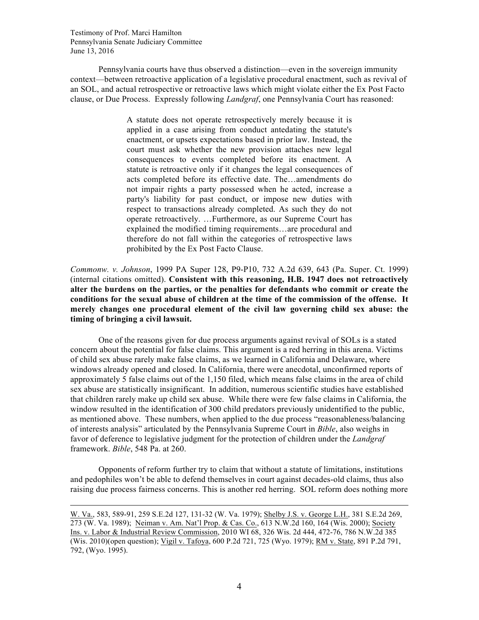$\overline{a}$ 

Pennsylvania courts have thus observed a distinction—even in the sovereign immunity context—between retroactive application of a legislative procedural enactment, such as revival of an SOL, and actual retrospective or retroactive laws which might violate either the Ex Post Facto clause, or Due Process. Expressly following *Landgraf*, one Pennsylvania Court has reasoned:

> A statute does not operate retrospectively merely because it is applied in a case arising from conduct antedating the statute's enactment, or upsets expectations based in prior law. Instead, the court must ask whether the new provision attaches new legal consequences to events completed before its enactment. A statute is retroactive only if it changes the legal consequences of acts completed before its effective date. The…amendments do not impair rights a party possessed when he acted, increase a party's liability for past conduct, or impose new duties with respect to transactions already completed. As such they do not operate retroactively. …Furthermore, as our Supreme Court has explained the modified timing requirements…are procedural and therefore do not fall within the categories of retrospective laws prohibited by the Ex Post Facto Clause.

*Commonw. v. Johnson*, 1999 PA Super 128, P9-P10, 732 A.2d 639, 643 (Pa. Super. Ct. 1999) (internal citations omitted). **Consistent with this reasoning, H.B. 1947 does not retroactively alter the burdens on the parties, or the penalties for defendants who commit or create the conditions for the sexual abuse of children at the time of the commission of the offense. It merely changes one procedural element of the civil law governing child sex abuse: the timing of bringing a civil lawsuit.**

One of the reasons given for due process arguments against revival of SOLs is a stated concern about the potential for false claims. This argument is a red herring in this arena. Victims of child sex abuse rarely make false claims, as we learned in California and Delaware, where windows already opened and closed. In California, there were anecdotal, unconfirmed reports of approximately 5 false claims out of the 1,150 filed, which means false claims in the area of child sex abuse are statistically insignificant. In addition, numerous scientific studies have established that children rarely make up child sex abuse. While there were few false claims in California, the window resulted in the identification of 300 child predators previously unidentified to the public, as mentioned above. These numbers, when applied to the due process "reasonableness/balancing of interests analysis" articulated by the Pennsylvania Supreme Court in *Bible*, also weighs in favor of deference to legislative judgment for the protection of children under the *Landgraf* framework. *Bible*, 548 Pa. at 260.

Opponents of reform further try to claim that without a statute of limitations, institutions and pedophiles won't be able to defend themselves in court against decades-old claims, thus also raising due process fairness concerns. This is another red herring. SOL reform does nothing more

W. Va., 583, 589-91, 259 S.E.2d 127, 131-32 (W. Va. 1979); Shelby J.S. v. George L.H., 381 S.E.2d 269, 273 (W. Va. 1989); Neiman v. Am. Nat'l Prop. & Cas. Co., 613 N.W.2d 160, 164 (Wis. 2000); Society Ins. v. Labor & Industrial Review Commission, 2010 WI 68, 326 Wis. 2d 444, 472-76, 786 N.W.2d 385 (Wis. 2010)(open question); Vigil v. Tafoya, 600 P.2d 721, 725 (Wyo. 1979); RM v. State, 891 P.2d 791, 792, (Wyo. 1995).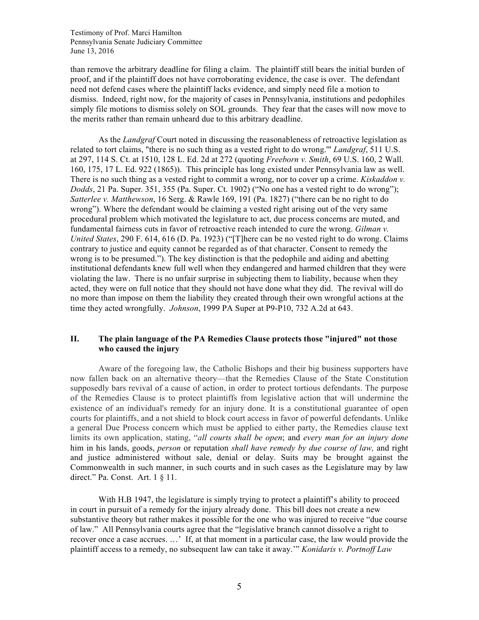than remove the arbitrary deadline for filing a claim. The plaintiff still bears the initial burden of proof, and if the plaintiff does not have corroborating evidence, the case is over. The defendant need not defend cases where the plaintiff lacks evidence, and simply need file a motion to dismiss. Indeed, right now, for the majority of cases in Pennsylvania, institutions and pedophiles simply file motions to dismiss solely on SOL grounds. They fear that the cases will now move to the merits rather than remain unheard due to this arbitrary deadline.

As the *Landgraf* Court noted in discussing the reasonableness of retroactive legislation as related to tort claims, "there is no such thing as a vested right to do wrong.'" *Landgraf*, 511 U.S. at 297, 114 S. Ct. at 1510, 128 L. Ed. 2d at 272 (quoting *Freeborn v. Smith*, 69 U.S. 160, 2 Wall. 160, 175, 17 L. Ed. 922 (1865)). This principle has long existed under Pennsylvania law as well. There is no such thing as a vested right to commit a wrong, nor to cover up a crime. *Kiskaddon v. Dodds*, 21 Pa. Super. 351, 355 (Pa. Super. Ct. 1902) ("No one has a vested right to do wrong"); *Satterlee v. Matthewson*, 16 Serg. & Rawle 169, 191 (Pa. 1827) ("there can be no right to do wrong"). Where the defendant would be claiming a vested right arising out of the very same procedural problem which motivated the legislature to act, due process concerns are muted, and fundamental fairness cuts in favor of retroactive reach intended to cure the wrong. *Gilman v. United States*, 290 F. 614, 616 (D. Pa. 1923) ("[T]here can be no vested right to do wrong. Claims contrary to justice and equity cannot be regarded as of that character. Consent to remedy the wrong is to be presumed."). The key distinction is that the pedophile and aiding and abetting institutional defendants knew full well when they endangered and harmed children that they were violating the law. There is no unfair surprise in subjecting them to liability, because when they acted, they were on full notice that they should not have done what they did. The revival will do no more than impose on them the liability they created through their own wrongful actions at the time they acted wrongfully. *Johnson*, 1999 PA Super at P9-P10, 732 A.2d at 643.

## **II. The plain language of the PA Remedies Clause protects those "injured" not those who caused the injury**

Aware of the foregoing law, the Catholic Bishops and their big business supporters have now fallen back on an alternative theory—that the Remedies Clause of the State Constitution supposedly bars revival of a cause of action, in order to protect tortious defendants. The purpose of the Remedies Clause is to protect plaintiffs from legislative action that will undermine the existence of an individual's remedy for an injury done. It is a constitutional guarantee of open courts for plaintiffs, and a not shield to block court access in favor of powerful defendants. Unlike a general Due Process concern which must be applied to either party, the Remedies clause text limits its own application, stating, "*all courts shall be open*; and *every man for an injury done* him in his lands, goods, *person* or reputation *shall have remedy by due course of law,* and right and justice administered without sale, denial or delay. Suits may be brought against the Commonwealth in such manner, in such courts and in such cases as the Legislature may by law direct." Pa. Const. Art. 1 § 11.

With H.B 1947, the legislature is simply trying to protect a plaintiff's ability to proceed in court in pursuit of a remedy for the injury already done. This bill does not create a new substantive theory but rather makes it possible for the one who was injured to receive "due course of law." All Pennsylvania courts agree that the "legislative branch cannot dissolve a right to recover once a case accrues. …' If, at that moment in a particular case, the law would provide the plaintiff access to a remedy, no subsequent law can take it away.'" *Konidaris v. Portnoff Law*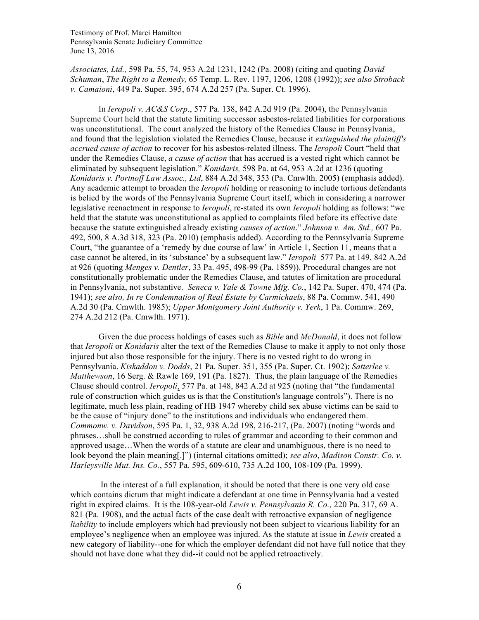*Associates, Ltd.,* 598 Pa. 55, 74, 953 A.2d 1231, 1242 (Pa. 2008) (citing and quoting *David Schuman*, *The Right to a Remedy,* 65 Temp. L. Rev. 1197, 1206, 1208 (1992)); *see also Stroback v. Camaioni*, 449 Pa. Super. 395, 674 A.2d 257 (Pa. Super. Ct. 1996).

In *Ieropoli v. AC&S Corp*., 577 Pa. 138, 842 A.2d 919 (Pa. 2004), the Pennsylvania Supreme Court held that the statute limiting successor asbestos-related liabilities for corporations was unconstitutional. The court analyzed the history of the Remedies Clause in Pennsylvania, and found that the legislation violated the Remedies Clause, because it *extinguished the plaintiff's accrued cause of action* to recover for his asbestos-related illness. The *Ieropoli* Court "held that under the Remedies Clause, *a cause of action* that has accrued is a vested right which cannot be eliminated by subsequent legislation." *Konidaris,* 598 Pa. at 64, 953 A.2d at 1236 (quoting *Konidaris v. Portnoff Law Assoc., Ltd*, 884 A.2d 348, 353 (Pa. Cmwlth. 2005) (emphasis added). Any academic attempt to broaden the *Ieropoli* holding or reasoning to include tortious defendants is belied by the words of the Pennsylvania Supreme Court itself, which in considering a narrower legislative reenactment in response to *Ieropoli*, re-stated its own *Ieropoli* holding as follows: "we held that the statute was unconstitutional as applied to complaints filed before its effective date because the statute extinguished already existing *causes of action*." *Johnson v. Am. Std.,* 607 Pa. 492, 500, 8 A.3d 318, 323 (Pa. 2010) (emphasis added). According to the Pennsylvania Supreme Court, "the guarantee of a 'remedy by due course of law' in Article 1, Section 11, means that a case cannot be altered, in its 'substance' by a subsequent law." *Ieropoli* 577 Pa. at 149, 842 A.2d at 926 (quoting *Menges v. Dentler*, 33 Pa. 495, 498-99 (Pa. 1859)). Procedural changes are not constitutionally problematic under the Remedies Clause, and tatutes of limitation are procedural in Pennsylvania, not substantive. *Seneca v. Yale & Towne Mfg. Co.*, 142 Pa. Super. 470, 474 (Pa. 1941); *see also, In re Condemnation of Real Estate by Carmichaels*, 88 Pa. Commw. 541, 490 A.2d 30 (Pa. Cmwlth. 1985); *Upper Montgomery Joint Authority v. Yerk*, 1 Pa. Commw. 269, 274 A.2d 212 (Pa. Cmwlth. 1971).

Given the due process holdings of cases such as *Bible* and *McDonald*, it does not follow that *Ieropoli* or *Konidaris* alter the text of the Remedies Clause to make it apply to not only those injured but also those responsible for the injury. There is no vested right to do wrong in Pennsylvania. *Kiskaddon v. Dodds*, 21 Pa. Super. 351, 355 (Pa. Super. Ct. 1902); *Satterlee v. Matthewson*, 16 Serg. & Rawle 169, 191 (Pa. 1827). Thus, the plain language of the Remedies Clause should control. *Ieropoli*, 577 Pa. at 148, 842 A.2d at 925 (noting that "the fundamental rule of construction which guides us is that the Constitution's language controls"). There is no legitimate, much less plain, reading of HB 1947 whereby child sex abuse victims can be said to be the cause of "injury done" to the institutions and individuals who endangered them. *Commonw. v. Davidson*, 595 Pa. 1, 32, 938 A.2d 198, 216-217, (Pa. 2007) (noting "words and phrases…shall be construed according to rules of grammar and according to their common and approved usage…When the words of a statute are clear and unambiguous, there is no need to look beyond the plain meaning[.]") (internal citations omitted); *see also*, *Madison Constr. Co. v. Harleysville Mut. Ins. Co.*, 557 Pa. 595, 609-610, 735 A.2d 100, 108-109 (Pa. 1999).

In the interest of a full explanation, it should be noted that there is one very old case which contains dictum that might indicate a defendant at one time in Pennsylvania had a vested right in expired claims. It is the 108-year-old *Lewis v. Pennsylvania R. Co.,* 220 Pa. 317, 69 A. 821 (Pa. 1908), and the actual facts of the case dealt with retroactive expansion of negligence *liability* to include employers which had previously not been subject to vicarious liability for an employee's negligence when an employee was injured. As the statute at issue in *Lewis* created a new category of liability--one for which the employer defendant did not have full notice that they should not have done what they did--it could not be applied retroactively.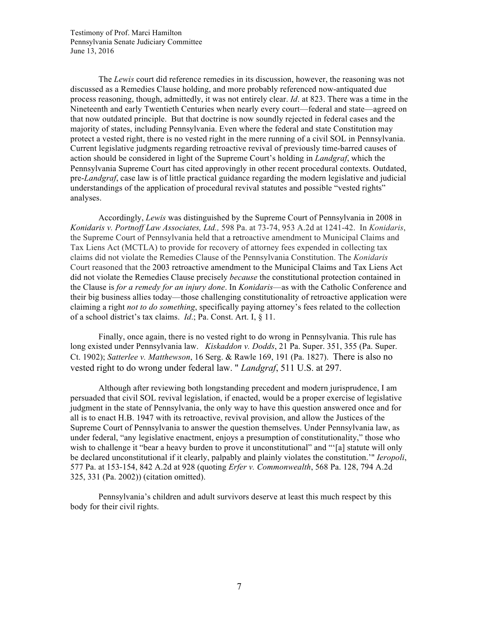The *Lewis* court did reference remedies in its discussion, however, the reasoning was not discussed as a Remedies Clause holding, and more probably referenced now-antiquated due process reasoning, though, admittedly, it was not entirely clear. *Id*. at 823. There was a time in the Nineteenth and early Twentieth Centuries when nearly every court—federal and state—agreed on that now outdated principle. But that doctrine is now soundly rejected in federal cases and the majority of states, including Pennsylvania. Even where the federal and state Constitution may protect a vested right, there is no vested right in the mere running of a civil SOL in Pennsylvania. Current legislative judgments regarding retroactive revival of previously time-barred causes of action should be considered in light of the Supreme Court's holding in *Landgraf*, which the Pennsylvania Supreme Court has cited approvingly in other recent procedural contexts. Outdated, pre-*Landgraf*, case law is of little practical guidance regarding the modern legislative and judicial understandings of the application of procedural revival statutes and possible "vested rights" analyses.

Accordingly, *Lewis* was distinguished by the Supreme Court of Pennsylvania in 2008 in *Konidaris v. Portnoff Law Associates, Ltd.,* 598 Pa. at 73-74, 953 A.2d at 1241-42. In *Konidaris*, the Supreme Court of Pennsylvania held that a retroactive amendment to Municipal Claims and Tax Liens Act (MCTLA) to provide for recovery of attorney fees expended in collecting tax claims did not violate the Remedies Clause of the Pennsylvania Constitution. The *Konidaris* Court reasoned that the 2003 retroactive amendment to the Municipal Claims and Tax Liens Act did not violate the Remedies Clause precisely *because* the constitutional protection contained in the Clause is *for a remedy for an injury done*. In *Konidaris*—as with the Catholic Conference and their big business allies today—those challenging constitutionality of retroactive application were claiming a right *not to do something*, specifically paying attorney's fees related to the collection of a school district's tax claims. *Id*.; Pa. Const. Art. I, § 11.

Finally, once again, there is no vested right to do wrong in Pennsylvania. This rule has long existed under Pennsylvania law. *Kiskaddon v. Dodds*, 21 Pa. Super. 351, 355 (Pa. Super. Ct. 1902); *Satterlee v. Matthewson*, 16 Serg. & Rawle 169, 191 (Pa. 1827). There is also no vested right to do wrong under federal law. " *Landgraf*, 511 U.S. at 297.

Although after reviewing both longstanding precedent and modern jurisprudence, I am persuaded that civil SOL revival legislation, if enacted, would be a proper exercise of legislative judgment in the state of Pennsylvania, the only way to have this question answered once and for all is to enact H.B. 1947 with its retroactive, revival provision, and allow the Justices of the Supreme Court of Pennsylvania to answer the question themselves. Under Pennsylvania law, as under federal, "any legislative enactment, enjoys a presumption of constitutionality," those who wish to challenge it "bear a heavy burden to prove it unconstitutional" and "[a] statute will only be declared unconstitutional if it clearly, palpably and plainly violates the constitution.'" *Ieropoli*, 577 Pa. at 153-154, 842 A.2d at 928 (quoting *Erfer v. Commonwealth*, 568 Pa. 128, 794 A.2d 325, 331 (Pa. 2002)) (citation omitted).

Pennsylvania's children and adult survivors deserve at least this much respect by this body for their civil rights.